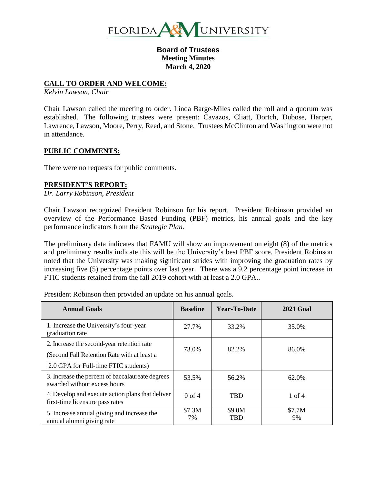

**Board of Trustees Meeting Minutes March 4, 2020**

#### **CALL TO ORDER AND WELCOME:**

*Kelvin Lawson, Chair*

Chair Lawson called the meeting to order. Linda Barge-Miles called the roll and a quorum was established. The following trustees were present: Cavazos, Cliatt, Dortch, Dubose, Harper, Lawrence, Lawson, Moore, Perry, Reed, and Stone. Trustees McClinton and Washington were not in attendance.

#### **PUBLIC COMMENTS:**

There were no requests for public comments.

## **PRESIDENT'S REPORT:**

*Dr. Larry Robinson, President*

Chair Lawson recognized President Robinson for his report. President Robinson provided an overview of the Performance Based Funding (PBF) metrics, his annual goals and the key performance indicators from the *Strategic Plan*.

The preliminary data indicates that FAMU will show an improvement on eight (8) of the metrics and preliminary results indicate this will be the University's best PBF score. President Robinson noted that the University was making significant strides with improving the graduation rates by increasing five (5) percentage points over last year. There was a 9.2 percentage point increase in FTIC students retained from the fall 2019 cohort with at least a 2.0 GPA..

| <b>Annual Goals</b>                                                                                                               | <b>Baseline</b> | Year-To-Date         | <b>2021 Goal</b> |
|-----------------------------------------------------------------------------------------------------------------------------------|-----------------|----------------------|------------------|
| 1. Increase the University's four-year<br>graduation rate                                                                         | 27.7%           | 33.2%                | 35.0%            |
| 2. Increase the second-year retention rate<br>(Second Fall Retention Rate with at least a<br>2.0 GPA for Full-time FTIC students) | 73.0%           | 82.2%                | 86.0%            |
| 3. Increase the percent of baccalaureate degrees<br>awarded without excess hours                                                  | 53.5%           | 56.2%                | 62.0%            |
| 4. Develop and execute action plans that deliver<br>first-time licensure pass rates                                               | $0$ of $4$      | <b>TBD</b>           | $1$ of $4$       |
| 5. Increase annual giving and increase the<br>annual alumni giving rate                                                           | \$7.3M<br>7%    | \$9.0M<br><b>TBD</b> | \$7.7M<br>9%     |

President Robinson then provided an update on his annual goals.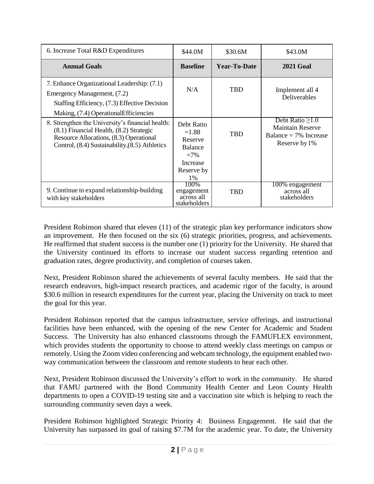| 6. Increase Total R&D Expenditures                                                                                                                                                       | \$44.0M                                                                               | \$30.6M      | \$43.0M                                                                                       |
|------------------------------------------------------------------------------------------------------------------------------------------------------------------------------------------|---------------------------------------------------------------------------------------|--------------|-----------------------------------------------------------------------------------------------|
| <b>Annual Goals</b>                                                                                                                                                                      | <b>Baseline</b>                                                                       | Year-To-Date | <b>2021 Goal</b>                                                                              |
| 7. Enhance Organizational Leadership: (7.1)<br>Emergency Management, (7.2)<br>Staffing Efficiency, (7.3) Effective Decision<br>Making, (7.4) Operational Efficiencies                    | N/A                                                                                   | <b>TBD</b>   | Implement all 4<br>Deliverables                                                               |
| 8. Strengthen the University's financial health:<br>(8.1) Financial Health, (8.2) Strategic<br>Resource Allocations, (8.3) Operational<br>Control, (8.4) Sustainability, (8.5) Athletics | Debt Ratio<br>$=1.88$<br>Reserve<br>Balance<br>$=7\%$<br>Increase<br>Reserve by<br>1% | <b>TBD</b>   | Debt Ratio $\geq 1.0$<br><b>Maintain Reserve</b><br>Balance = $7\%$ Increase<br>Reserve by 1% |
| 9. Continue to expand relationship-building<br>with key stakeholders                                                                                                                     | 100\%<br>engagement<br>across all<br>stakeholders                                     | <b>TBD</b>   | 100% engagement<br>across all<br>stakeholders                                                 |

President Robinson shared that eleven (11) of the strategic plan key performance indicators show an improvement. He then focused on the six (6) strategic priorities, progress, and achievements. He reaffirmed that student success is the number one (1) priority for the University. He shared that the University continued its efforts to increase our student success regarding retention and graduation rates, degree productivity, and completion of courses taken.

Next, President Robinson shared the achievements of several faculty members. He said that the research endeavors, high-impact research practices, and academic rigor of the faculty, is around \$30.6 million in research expenditures for the current year, placing the University on track to meet the goal for this year.

President Robinson reported that the campus infrastructure, service offerings, and instructional facilities have been enhanced, with the opening of the new Center for Academic and Student Success. The University has also enhanced classrooms through the FAMUFLEX environment, which provides students the opportunity to choose to attend weekly class meetings on campus or remotely. Using the Zoom video conferencing and webcam technology, the equipment enabled twoway communication between the classroom and remote students to hear each other.

Next, President Robinson discussed the University's effort to work in the community. He shared that FAMU partnered with the Bond Community Health Center and Leon County Health departments to open a COVID-19 testing site and a vaccination site which is helping to reach the surrounding community seven days a week.

President Robinson highlighted Strategic Priority 4: Business Engagement. He said that the University has surpassed its goal of raising \$7.7M for the academic year. To date, the University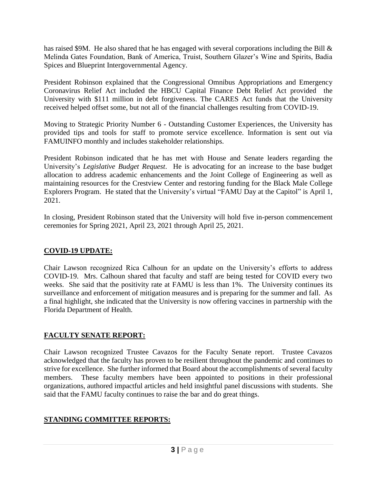has raised \$9M. He also shared that he has engaged with several corporations including the Bill & Melinda Gates Foundation, Bank of America, Truist, Southern Glazer's Wine and Spirits, Badia Spices and Blueprint Intergovernmental Agency.

President Robinson explained that the Congressional Omnibus Appropriations and Emergency Coronavirus Relief Act included the HBCU Capital Finance Debt Relief Act provided the University with \$111 million in debt forgiveness. The CARES Act funds that the University received helped offset some, but not all of the financial challenges resulting from COVID-19.

Moving to Strategic Priority Number 6 - Outstanding Customer Experiences, the University has provided tips and tools for staff to promote service excellence. Information is sent out via FAMUINFO monthly and includes stakeholder relationships.

President Robinson indicated that he has met with House and Senate leaders regarding the University's *Legislative Budget Request*. He is advocating for an increase to the base budget allocation to address academic enhancements and the Joint College of Engineering as well as maintaining resources for the Crestview Center and restoring funding for the Black Male College Explorers Program. He stated that the University's virtual "FAMU Day at the Capitol" is April 1, 2021.

In closing, President Robinson stated that the University will hold five in-person commencement ceremonies for Spring 2021, April 23, 2021 through April 25, 2021.

# **COVID-19 UPDATE:**

Chair Lawson recognized Rica Calhoun for an update on the University's efforts to address COVID-19. Mrs. Calhoun shared that faculty and staff are being tested for COVID every two weeks. She said that the positivity rate at FAMU is less than 1%. The University continues its surveillance and enforcement of mitigation measures and is preparing for the summer and fall. As a final highlight, she indicated that the University is now offering vaccines in partnership with the Florida Department of Health.

# **FACULTY SENATE REPORT:**

Chair Lawson recognized Trustee Cavazos for the Faculty Senate report. Trustee Cavazos acknowledged that the faculty has proven to be resilient throughout the pandemic and continues to strive for excellence. She further informed that Board about the accomplishments of several faculty members. These faculty members have been appointed to positions in their professional organizations, authored impactful articles and held insightful panel discussions with students. She said that the FAMU faculty continues to raise the bar and do great things.

# **STANDING COMMITTEE REPORTS:**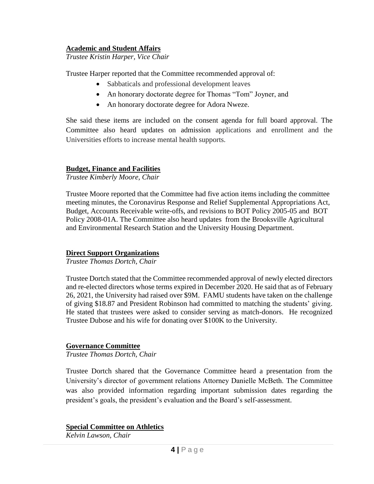# **Academic and Student Affairs**

*Trustee Kristin Harper, Vice Chair*

Trustee Harper reported that the Committee recommended approval of:

- Sabbaticals and professional development leaves
- An honorary doctorate degree for Thomas "Tom" Joyner, and
- An honorary doctorate degree for Adora Nweze.

She said these items are included on the consent agenda for full board approval. The Committee also heard updates on admission applications and enrollment and the Universities efforts to increase mental health supports.

# **Budget, Finance and Facilities**

*Trustee Kimberly Moore, Chair*

Trustee Moore reported that the Committee had five action items including the committee meeting minutes, the Coronavirus Response and Relief Supplemental Appropriations Act, Budget, Accounts Receivable write-offs, and revisions to BOT Policy 2005-05 and BOT Policy 2008-01A. The Committee also heard updates from the Brooksville Agricultural and Environmental Research Station and the University Housing Department.

## **Direct Support Organizations**

*Trustee Thomas Dortch, Chair*

Trustee Dortch stated that the Committee recommended approval of newly elected directors and re-elected directors whose terms expired in December 2020. He said that as of February 26, 2021, the University had raised over \$9M. FAMU students have taken on the challenge of giving \$18.87 and President Robinson had committed to matching the students' giving. He stated that trustees were asked to consider serving as match-donors. He recognized Trustee Dubose and his wife for donating over \$100K to the University.

## **Governance Committee**

*Trustee Thomas Dortch, Chair*

Trustee Dortch shared that the Governance Committee heard a presentation from the University's director of government relations Attorney Danielle McBeth. The Committee was also provided information regarding important submission dates regarding the president's goals, the president's evaluation and the Board's self-assessment.

## **Special Committee on Athletics**

*Kelvin Lawson, Chair*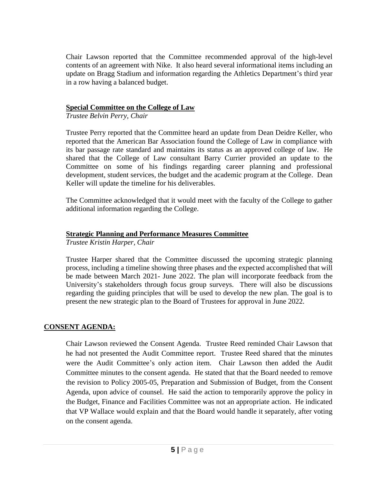Chair Lawson reported that the Committee recommended approval of the high-level contents of an agreement with Nike. It also heard several informational items including an update on Bragg Stadium and information regarding the Athletics Department's third year in a row having a balanced budget.

# **Special Committee on the College of Law**

*Trustee Belvin Perry, Chair*

Trustee Perry reported that the Committee heard an update from Dean Deidre Keller, who reported that the American Bar Association found the College of Law in compliance with its bar passage rate standard and maintains its status as an approved college of law. He shared that the College of Law consultant Barry Currier provided an update to the Committee on some of his findings regarding career planning and professional development, student services, the budget and the academic program at the College. Dean Keller will update the timeline for his deliverables.

The Committee acknowledged that it would meet with the faculty of the College to gather additional information regarding the College.

# **Strategic Planning and Performance Measures Committee**

*Trustee Kristin Harper, Chair*

Trustee Harper shared that the Committee discussed the upcoming strategic planning process, including a timeline showing three phases and the expected accomplished that will be made between March 2021- June 2022. The plan will incorporate feedback from the University's stakeholders through focus group surveys. There will also be discussions regarding the guiding principles that will be used to develop the new plan. The goal is to present the new strategic plan to the Board of Trustees for approval in June 2022.

# **CONSENT AGENDA:**

Chair Lawson reviewed the Consent Agenda. Trustee Reed reminded Chair Lawson that he had not presented the Audit Committee report. Trustee Reed shared that the minutes were the Audit Committee's only action item. Chair Lawson then added the Audit Committee minutes to the consent agenda. He stated that that the Board needed to remove the revision to Policy 2005-05, Preparation and Submission of Budget, from the Consent Agenda, upon advice of counsel. He said the action to temporarily approve the policy in the Budget, Finance and Facilities Committee was not an appropriate action. He indicated that VP Wallace would explain and that the Board would handle it separately, after voting on the consent agenda.